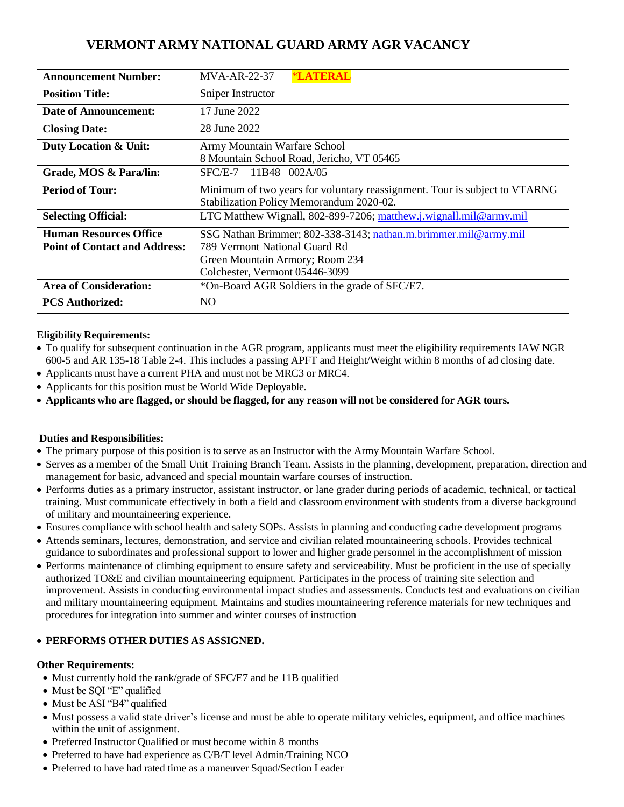# **VERMONT ARMY NATIONAL GUARD ARMY AGR VACANCY**

| <b>Announcement Number:</b>          | <b>*LATERAL</b><br>$MVA-AR-22-37$                                          |  |  |
|--------------------------------------|----------------------------------------------------------------------------|--|--|
| <b>Position Title:</b>               | Sniper Instructor                                                          |  |  |
| Date of Announcement:                | 17 June 2022                                                               |  |  |
| <b>Closing Date:</b>                 | 28 June 2022                                                               |  |  |
| <b>Duty Location &amp; Unit:</b>     | Army Mountain Warfare School                                               |  |  |
|                                      | 8 Mountain School Road, Jericho, VT 05465                                  |  |  |
| Grade, MOS & Para/lin:               | SFC/E-7 11B48 002A/05                                                      |  |  |
| <b>Period of Tour:</b>               | Minimum of two years for voluntary reassignment. Tour is subject to VTARNG |  |  |
|                                      | Stabilization Policy Memorandum 2020-02.                                   |  |  |
| <b>Selecting Official:</b>           | LTC Matthew Wignall, 802-899-7206; matthew.j.wignall.mil@army.mil          |  |  |
| <b>Human Resources Office</b>        | SSG Nathan Brimmer; 802-338-3143; nathan.m.brimmer.mil@army.mil            |  |  |
| <b>Point of Contact and Address:</b> | 789 Vermont National Guard Rd                                              |  |  |
|                                      | Green Mountain Armory; Room 234                                            |  |  |
|                                      | Colchester, Vermont 05446-3099                                             |  |  |
| <b>Area of Consideration:</b>        | *On-Board AGR Soldiers in the grade of SFC/E7.                             |  |  |
| <b>PCS Authorized:</b>               | NO                                                                         |  |  |

## **Eligibility Requirements:**

- To qualify for subsequent continuation in the AGR program, applicants must meet the eligibility requirements IAW NGR 600-5 and AR 135-18 Table 2-4. This includes a passing APFT and Height/Weight within 8 months of ad closing date.
- Applicants must have a current PHA and must not be MRC3 or MRC4.
- Applicants for this position must be World Wide Deployable.
- Applicants who are flagged, or should be flagged, for any reason will not be considered for AGR tours.

### **Duties and Responsibilities:**

- The primary purpose of this position is to serve as an Instructor with the Army Mountain Warfare School.
- Serves as a member of the Small Unit Training Branch Team. Assists in the planning, development, preparation, direction and management for basic, advanced and special mountain warfare courses of instruction.
- Performs duties as a primary instructor, assistant instructor, or lane grader during periods of academic, technical, or tactical training. Must communicate effectively in both a field and classroom environment with students from a diverse background of military and mountaineering experience.
- Ensures compliance with school health and safety SOPs. Assists in planning and conducting cadre development programs
- Attends seminars, lectures, demonstration, and service and civilian related mountaineering schools. Provides technical guidance to subordinates and professional support to lower and higher grade personnel in the accomplishment of mission
- Performs maintenance of climbing equipment to ensure safety and serviceability. Must be proficient in the use of specially authorized TO&E and civilian mountaineering equipment. Participates in the process of training site selection and improvement. Assists in conducting environmental impact studies and assessments. Conducts test and evaluations on civilian and military mountaineering equipment. Maintains and studies mountaineering reference materials for new techniques and procedures for integration into summer and winter courses of instruction

### • **PERFORMS OTHER DUTIES AS ASSIGNED.**

### **Other Requirements:**

- Must currently hold the rank/grade of SFC/E7 and be 11B qualified
- Must be SOI "E" qualified
- Must be ASI "B4" qualified
- Must possess a valid state driver's license and must be able to operate military vehicles, equipment, and office machines within the unit of assignment.
- Preferred Instructor Qualified or must become within 8 months
- Preferred to have had experience as C/B/T level Admin/Training NCO
- Preferred to have had rated time as a maneuver Squad/Section Leader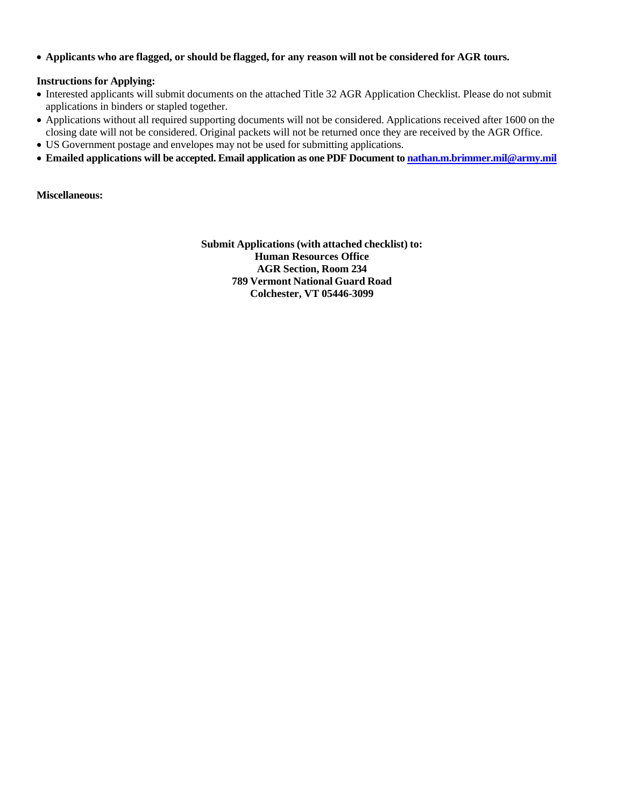• Applicants who are flagged, or should be flagged, for any reason will not be considered for AGR tours.

#### **Instructions for Applying:**

- Interested applicants will submit documents on the attached Title 32 AGR Application Checklist. Please do not submit applications in binders or stapled together.
- Applications without all required supporting documents will not be considered. Applications received after 1600 on the closing date will not be considered. Original packets will not be returned once they are received by the AGR Office.
- US Government postage and envelopes may not be used for submitting applications.
- **Emailed applications will be accepted. Email application as one PDF Document t[o nathan.m.brimmer.mil@army.mil](nathan.m.brimmer.mil@army.mil)**

**Miscellaneous:**

**Submit Applications (with attached checklist) to: Human Resources Office AGR Section, Room 234 789 Vermont National Guard Road Colchester, VT 05446-3099**